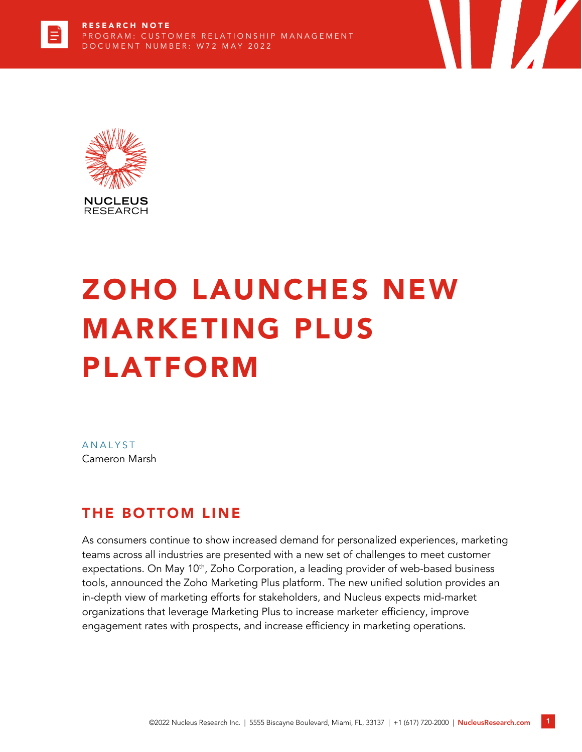



# ZOHO LAUNCHES NEW MARKETING PLUS PLATFORM

**ANALYST** Cameron Marsh

#### THE BOTTOM LINE

As consumers continue to show increased demand for personalized experiences, marketing teams across all industries are presented with a new set of challenges to meet customer expectations. On May 10<sup>th</sup>, Zoho Corporation, a leading provider of web-based business tools, announced the Zoho Marketing Plus platform. The new unified solution provides an in-depth view of marketing efforts for stakeholders, and Nucleus expects mid-market organizations that leverage Marketing Plus to increase marketer efficiency, improve engagement rates with prospects, and increase efficiency in marketing operations.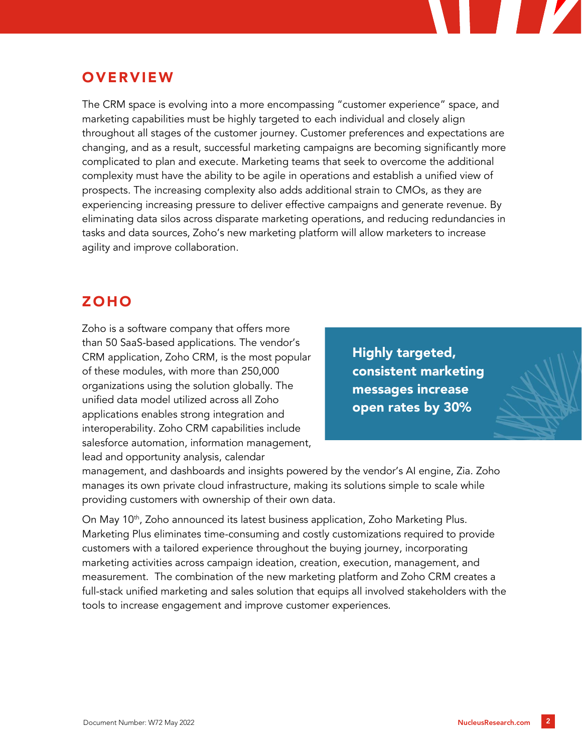#### **OVERVIEW**

The CRM space is evolving into a more encompassing "customer experience" space, and marketing capabilities must be highly targeted to each individual and closely align throughout all stages of the customer journey. Customer preferences and expectations are changing, and as a result, successful marketing campaigns are becoming significantly more complicated to plan and execute. Marketing teams that seek to overcome the additional complexity must have the ability to be agile in operations and establish a unified view of prospects. The increasing complexity also adds additional strain to CMOs, as they are experiencing increasing pressure to deliver effective campaigns and generate revenue. By eliminating data silos across disparate marketing operations, and reducing redundancies in tasks and data sources, Zoho's new marketing platform will allow marketers to increase agility and improve collaboration.

#### **ZOHO**

Zoho is a software company that offers more than 50 SaaS-based applications. The vendor's CRM application, Zoho CRM, is the most popular of these modules, with more than 250,000 organizations using the solution globally. The unified data model utilized across all Zoho applications enables strong integration and interoperability. Zoho CRM capabilities include salesforce automation, information management, lead and opportunity analysis, calendar

Highly targeted, consistent marketing messages increase open rates by 30%

management, and dashboards and insights powered by the vendor's AI engine, Zia. Zoho manages its own private cloud infrastructure, making its solutions simple to scale while providing customers with ownership of their own data.

On May 10<sup>th</sup>, Zoho announced its latest business application, Zoho Marketing Plus. Marketing Plus eliminates time-consuming and costly customizations required to provide customers with a tailored experience throughout the buying journey, incorporating marketing activities across campaign ideation, creation, execution, management, and measurement. The combination of the new marketing platform and Zoho CRM creates a full-stack unified marketing and sales solution that equips all involved stakeholders with the tools to increase engagement and improve customer experiences.